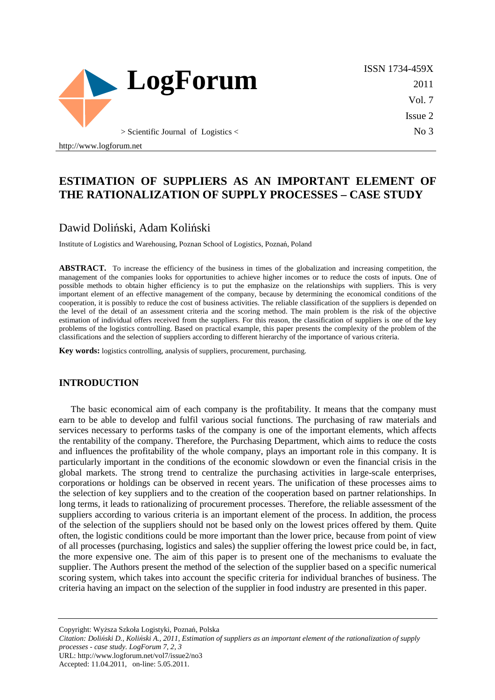

ISSN 1734-459X 2011 Vol. 7 Issue 2 No 3

http://www.logforum.net

# **ESTIMATION OF SUPPLIERS AS AN IMPORTANT ELEMENT OF THE RATIONALIZATION OF SUPPLY PROCESSES – CASE STUDY**

# Dawid Doliński, Adam Koliński

Institute of Logistics and Warehousing, Poznan School of Logistics, Poznań, Poland

**ABSTRACT.** To increase the efficiency of the business in times of the globalization and increasing competition, the management of the companies looks for opportunities to achieve higher incomes or to reduce the costs of inputs. One of possible methods to obtain higher efficiency is to put the emphasize on the relationships with suppliers. This is very important element of an effective management of the company, because by determining the economical conditions of the cooperation, it is possibly to reduce the cost of business activities. The reliable classification of the suppliers is depended on the level of the detail of an assessment criteria and the scoring method. The main problem is the risk of the objective estimation of individual offers received from the suppliers. For this reason, the classification of suppliers is one of the key problems of the logistics controlling. Based on practical example, this paper presents the complexity of the problem of the classifications and the selection of suppliers according to different hierarchy of the importance of various criteria.

**Key words:** logistics controlling, analysis of suppliers, procurement, purchasing.

#### **INTRODUCTION**

The basic economical aim of each company is the profitability. It means that the company must earn to be able to develop and fulfil various social functions. The purchasing of raw materials and services necessary to performs tasks of the company is one of the important elements, which affects the rentability of the company. Therefore, the Purchasing Department, which aims to reduce the costs and influences the profitability of the whole company, plays an important role in this company. It is particularly important in the conditions of the economic slowdown or even the financial crisis in the global markets. The strong trend to centralize the purchasing activities in large-scale enterprises, corporations or holdings can be observed in recent years. The unification of these processes aims to the selection of key suppliers and to the creation of the cooperation based on partner relationships. In long terms, it leads to rationalizing of procurement processes. Therefore, the reliable assessment of the suppliers according to various criteria is an important element of the process. In addition, the process of the selection of the suppliers should not be based only on the lowest prices offered by them. Quite often, the logistic conditions could be more important than the lower price, because from point of view of all processes (purchasing, logistics and sales) the supplier offering the lowest price could be, in fact, the more expensive one. The aim of this paper is to present one of the mechanisms to evaluate the supplier. The Authors present the method of the selection of the supplier based on a specific numerical scoring system, which takes into account the specific criteria for individual branches of business. The criteria having an impact on the selection of the supplier in food industry are presented in this paper.

Copyright: Wyższa Szkoła Logistyki, Poznań, Polska

*Citation: Doliński D., Koliński A., 2011, Estimation of suppliers as an important element of the rationalization of supply processes - case study. LogForum 7, 2, 3*  URL: http://www.logforum.net/vol7/issue2/no3

Accepted: 11.04.2011, on-line: 5.05.2011.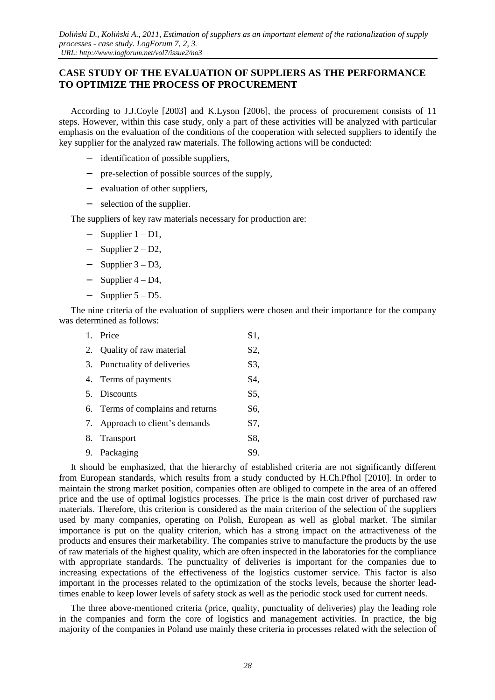## **CASE STUDY OF THE EVALUATION OF SUPPLIERS AS THE PERFORMANCE TO OPTIMIZE THE PROCESS OF PROCUREMENT**

According to J.J.Coyle [2003] and K.Lyson [2006], the process of procurement consists of 11 steps. However, within this case study, only a part of these activities will be analyzed with particular emphasis on the evaluation of the conditions of the cooperation with selected suppliers to identify the key supplier for the analyzed raw materials. The following actions will be conducted:

- − identification of possible suppliers,
- − pre-selection of possible sources of the supply,
- − evaluation of other suppliers,
- − selection of the supplier.

The suppliers of key raw materials necessary for production are:

- − Supplier 1 D1,
- − Supplier 2 D2,
- − Supplier 3 D3,
- − Supplier 4 D4,
- − Supplier 5 D5.

The nine criteria of the evaluation of suppliers were chosen and their importance for the company was determined as follows:

| $1_{-}$ | Price                             | S1, |
|---------|-----------------------------------|-----|
|         | 2. Quality of raw material        | S2, |
|         | 3. Punctuality of deliveries      | S3, |
|         | 4. Terms of payments              | S4, |
|         | 5. Discounts                      | S5, |
|         | 6. Terms of complains and returns | S6, |
|         | 7. Approach to client's demands   | S7. |
|         | 8. Transport                      | S8, |
|         | 9. Packaging                      | S9. |
|         |                                   |     |

It should be emphasized, that the hierarchy of established criteria are not significantly different from European standards, which results from a study conducted by H.Ch.Pfhol [2010]. In order to maintain the strong market position, companies often are obliged to compete in the area of an offered price and the use of optimal logistics processes. The price is the main cost driver of purchased raw materials. Therefore, this criterion is considered as the main criterion of the selection of the suppliers used by many companies, operating on Polish, European as well as global market. The similar importance is put on the quality criterion, which has a strong impact on the attractiveness of the products and ensures their marketability. The companies strive to manufacture the products by the use of raw materials of the highest quality, which are often inspected in the laboratories for the compliance with appropriate standards. The punctuality of deliveries is important for the companies due to increasing expectations of the effectiveness of the logistics customer service. This factor is also important in the processes related to the optimization of the stocks levels, because the shorter leadtimes enable to keep lower levels of safety stock as well as the periodic stock used for current needs.

The three above-mentioned criteria (price, quality, punctuality of deliveries) play the leading role in the companies and form the core of logistics and management activities. In practice, the big majority of the companies in Poland use mainly these criteria in processes related with the selection of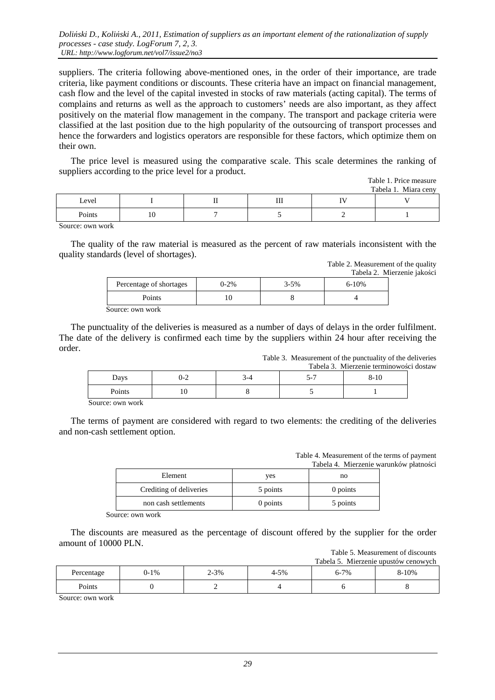suppliers. The criteria following above-mentioned ones, in the order of their importance, are trade criteria, like payment conditions or discounts. These criteria have an impact on financial management, cash flow and the level of the capital invested in stocks of raw materials (acting capital). The terms of complains and returns as well as the approach to customers' needs are also important, as they affect positively on the material flow management in the company. The transport and package criteria were classified at the last position due to the high popularity of the outsourcing of transport processes and hence the forwarders and logistics operators are responsible for these factors, which optimize them on their own.

The price level is measured using the comparative scale. This scale determines the ranking of suppliers according to the price level for a product.

|        |    |   |    | Table 1. Price measure<br>Tabela 1. Miara ceny |
|--------|----|---|----|------------------------------------------------|
| Level  |    | Ш | ΙV |                                                |
| Points | 10 |   |    |                                                |

Source: own work

The quality of the raw material is measured as the percent of raw materials inconsistent with the quality standards (level of shortages).

> Table 2. Measurement of the quality Tabela 2. Mierzenie jakości

|                         |           |           | rabeia z. Mi |  |  |
|-------------------------|-----------|-----------|--------------|--|--|
| Percentage of shortages | $0 - 2\%$ | $3 - 5\%$ | $6 - 10\%$   |  |  |
| Points                  |           |           |              |  |  |
| Source: own work        |           |           |              |  |  |

The punctuality of the deliveries is measured as a number of days of delays in the order fulfilment. The date of the delivery is confirmed each time by the suppliers within 24 hour after receiving the order.

> Table 3. Measurement of the punctuality of the deliveries Tabela 3. Mierzenie terminowości dostaw

| Days             | J-Z |  | - -<br>י - | $8-10$ |  |  |
|------------------|-----|--|------------|--------|--|--|
| Points           | 1 U |  |            |        |  |  |
| Source: own work |     |  |            |        |  |  |

The terms of payment are considered with regard to two elements: the crediting of the deliveries and non-cash settlement option.

> Table 4. Measurement of the terms of payment Tabela 4. Mierzenie warunków płatności

| Element                 | ves      | no       |
|-------------------------|----------|----------|
| Crediting of deliveries | 5 points | 0 points |
| non cash settlements    | 0 points | 5 points |

Source: own work

The discounts are measured as the percentage of discount offered by the supplier for the order amount of 10000 PLN.

Table 5. Measurement of discounts

|            |        |      |      |          | Tabela 5. Mierzenie upustów cenowych |
|------------|--------|------|------|----------|--------------------------------------|
| Percentage | $0-1%$ | 2-3% | 4-5% | $6 - 7%$ | 8-10%                                |
| Points     |        |      |      |          |                                      |

Source: own work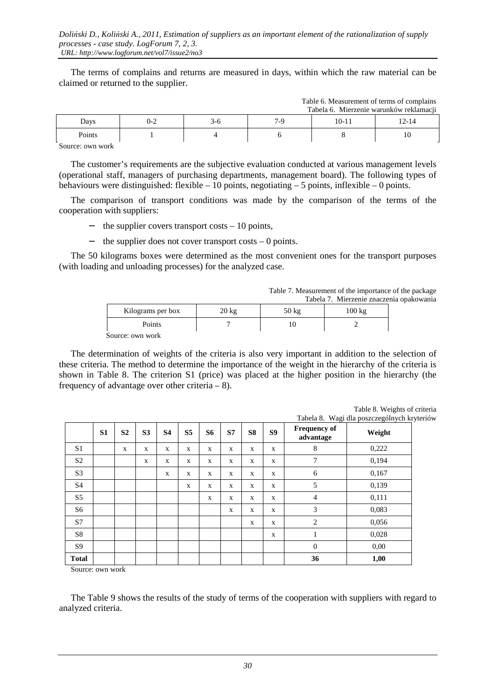The terms of complains and returns are measured in days, within which the raw material can be claimed or returned to the supplier.

|        |         |      |     | Table 6. Measurement of terms of complains<br>Tabela 6. Mierzenie warunków reklamacji |       |
|--------|---------|------|-----|---------------------------------------------------------------------------------------|-------|
| Days   | $0 - 2$ | .ა-ი | 7-9 | 10-11                                                                                 | 12-14 |
| Points |         |      |     |                                                                                       | 10    |
| $\sim$ |         |      |     |                                                                                       |       |

Source: own work

The customer's requirements are the subjective evaluation conducted at various management levels (operational staff, managers of purchasing departments, management board). The following types of behaviours were distinguished: flexible  $-10$  points, negotiating  $-5$  points, inflexible  $-0$  points.

The comparison of transport conditions was made by the comparison of the terms of the cooperation with suppliers:

- − the supplier covers transport costs 10 points,
- − the supplier does not cover transport costs 0 points.

The 50 kilograms boxes were determined as the most convenient ones for the transport purposes (with loading and unloading processes) for the analyzed case.

Table 7. Measurement of the importance of the package

 $T<sub>1</sub>$   $\leq$   $\leq$   $M<sub>2</sub>$  comparent of terms of completes

|                   |                 |                 | Tabela 7. Mierzenie znaczenia opakowania |  |
|-------------------|-----------------|-----------------|------------------------------------------|--|
| Kilograms per box | $20 \text{ kg}$ | $50 \text{ kg}$ | 100 kg                                   |  |
| Points            |                 |                 |                                          |  |
| -                 |                 |                 |                                          |  |

Source: own work

The determination of weights of the criteria is also very important in addition to the selection of these criteria. The method to determine the importance of the weight in the hierarchy of the criteria is shown in Table 8. The criterion S1 (price) was placed at the higher position in the hierarchy (the frequency of advantage over other criteria  $-8$ ).

 **S1 S2 S3 S4 S5 S6 S7 S8 S9 Frequency of requency of the advantage in the Weight**  $S1$  x x x x x x x x x x 8 0,222 S2 x x x x x x x 7 0,194 S3 x x x x x x 6 0,167 S4 x x x x x 5 0,139 S5 x x x x 4 0,111 S6 x x x 3 0,083 S7 x x 2 0,056  $S8$  | | | | | | | | | | | | | 0,028  $S9$  | | | | | | | | | 0 | 0,00

Table 8. Weights of criteria Tabela 8. Wagi dla poszczególnych kryteriów

Source: own work

The Table 9 shows the results of the study of terms of the cooperation with suppliers with regard to analyzed criteria.

**Total** | | | | | | | | | 36 | 1,00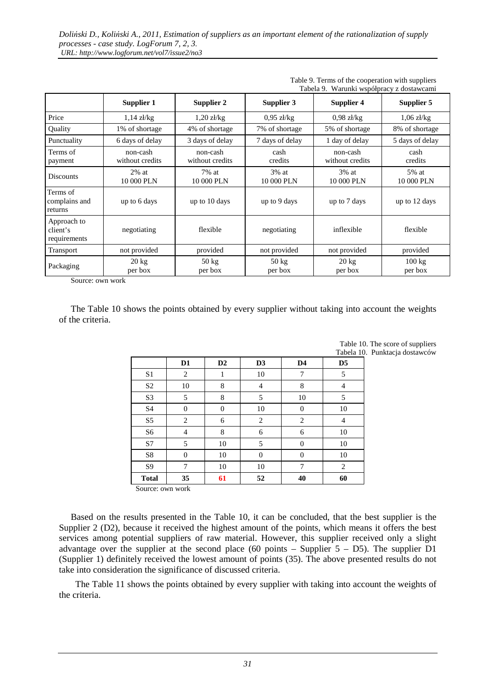|                                         | Tabela 9. Warunki współpracy z dostawcami |                             |                            |                             |                             |
|-----------------------------------------|-------------------------------------------|-----------------------------|----------------------------|-----------------------------|-----------------------------|
|                                         | Supplier 1                                | Supplier 2                  | Supplier 3                 | Supplier 4                  | Supplier 5                  |
| Price                                   | $1.14$ zł/kg                              | $1,20$ zł/kg                | $0.95$ zł/kg               | $0.98$ zł/kg                | $1,06$ zł/kg                |
| Quality                                 | 1% of shortage                            | 4% of shortage              | 7% of shortage             | 5% of shortage              | 8% of shortage              |
| Punctuality                             | 6 days of delay                           | 3 days of delay             | 7 days of delay            | 1 day of delay              | 5 days of delay             |
| Terms of<br>payment                     | non-cash<br>without credits               | non-cash<br>without credits | cash<br>credits            | non-cash<br>without credits | cash<br>credits             |
| <b>Discounts</b>                        | $2\%$ at<br>10 000 PLN                    | 7% at<br>10 000 PLN         | $3\%$ at<br>10 000 PLN     | 3% at<br>10 000 PLN         | 5% at<br>10 000 PLN         |
| Terms of<br>complains and<br>returns    | up to 6 days                              | up to 10 days               | up to 9 days               | up to 7 days                | up to 12 days               |
| Approach to<br>client's<br>requirements | negotiating                               | flexible                    | negotiating                | inflexible                  | flexible                    |
| Transport                               | not provided                              | provided                    | not provided               | not provided                | provided                    |
| Packaging                               | $20 \text{ kg}$<br>per box                | $50 \text{ kg}$<br>per box  | $50 \text{ kg}$<br>per box | $20 \text{ kg}$<br>per box  | $100 \text{ kg}$<br>per box |

Table 9. Terms of the cooperation with suppliers Tabela 9. Warunki współpracy z dostawcami

Source: own work

The Table 10 shows the points obtained by every supplier without taking into account the weights of the criteria.

|                |                |          |                |                |                | Table 10. The score of suppliers |
|----------------|----------------|----------|----------------|----------------|----------------|----------------------------------|
|                |                |          |                |                |                | Tabela 10. Punktacja dostawców   |
|                | D <sub>1</sub> | D2       | D <sub>3</sub> | D <sub>4</sub> | D <sub>5</sub> |                                  |
| S <sub>1</sub> | 2              | 1        | 10             | 7              | 5              |                                  |
| S <sub>2</sub> | 10             | 8        | 4              | 8              | $\overline{4}$ |                                  |
| S <sub>3</sub> | 5              | 8        | 5              | 10             | 5              |                                  |
| S <sub>4</sub> | $\Omega$       | $\Omega$ | 10             | $\Omega$       | 10             |                                  |
| S <sub>5</sub> | $\overline{c}$ | 6        | 2              | 2              | 4              |                                  |
| S <sub>6</sub> | $\overline{4}$ | 8        | 6              | 6              | 10             |                                  |
| S7             | 5              | 10       | 5              | $\Omega$       | 10             |                                  |
| S8             | $\Omega$       | 10       | $\Omega$       | $\Omega$       | 10             |                                  |
| S <sub>9</sub> | 7              | 10       | 10             | 7              | $\overline{2}$ |                                  |
| <b>Total</b>   | 35             | 61       | 52             | 40             | 60             |                                  |

Punktacja dostawców

Source: own work

Based on the results presented in the Table 10, it can be concluded, that the best supplier is the Supplier 2 (D2), because it received the highest amount of the points, which means it offers the best services among potential suppliers of raw material. However, this supplier received only a slight advantage over the supplier at the second place (60 points – Supplier  $5 - D5$ ). The supplier D1 (Supplier 1) definitely received the lowest amount of points (35). The above presented results do not take into consideration the significance of discussed criteria.

 The Table 11 shows the points obtained by every supplier with taking into account the weights of the criteria.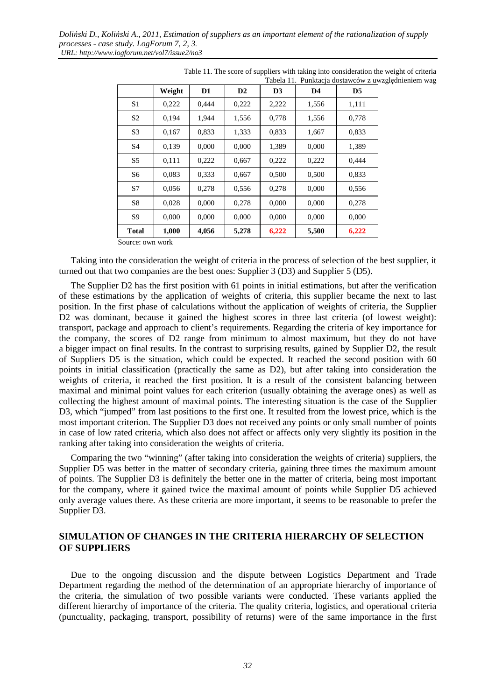|                | Weight | D <sub>1</sub> | D2    | D3    | D <sub>4</sub> | D <sub>5</sub> |
|----------------|--------|----------------|-------|-------|----------------|----------------|
| S1             | 0,222  | 0.444          | 0,222 | 2,222 | 1,556          | 1,111          |
| S <sub>2</sub> | 0,194  | 1,944          | 1,556 | 0,778 | 1,556          | 0,778          |
| S <sub>3</sub> | 0,167  | 0,833          | 1,333 | 0,833 | 1,667          | 0,833          |
| S <sub>4</sub> | 0,139  | 0,000          | 0,000 | 1,389 | 0,000          | 1,389          |
| S <sub>5</sub> | 0,111  | 0,222          | 0,667 | 0,222 | 0,222          | 0,444          |
| S <sub>6</sub> | 0,083  | 0,333          | 0,667 | 0,500 | 0,500          | 0,833          |
| S7             | 0,056  | 0,278          | 0,556 | 0,278 | 0,000          | 0,556          |
| S <sub>8</sub> | 0,028  | 0,000          | 0,278 | 0,000 | 0,000          | 0,278          |
| S9             | 0.000  | 0.000          | 0.000 | 0.000 | 0,000          | 0,000          |
| <b>Total</b>   | 1,000  | 4,056          | 5,278 | 6,222 | 5,500          | 6,222          |

| Table 11. The score of suppliers with taking into consideration the weight of criteria |  |                                                     |
|----------------------------------------------------------------------------------------|--|-----------------------------------------------------|
|                                                                                        |  | Tabela 11. Punktacja dostawców z uwzględnieniem wag |

Source: own work

Taking into the consideration the weight of criteria in the process of selection of the best supplier, it turned out that two companies are the best ones: Supplier 3 (D3) and Supplier 5 (D5).

The Supplier D2 has the first position with 61 points in initial estimations, but after the verification of these estimations by the application of weights of criteria, this supplier became the next to last position. In the first phase of calculations without the application of weights of criteria, the Supplier D2 was dominant, because it gained the highest scores in three last criteria (of lowest weight): transport, package and approach to client's requirements. Regarding the criteria of key importance for the company, the scores of D2 range from minimum to almost maximum, but they do not have a bigger impact on final results. In the contrast to surprising results, gained by Supplier D2, the result of Suppliers D5 is the situation, which could be expected. It reached the second position with 60 points in initial classification (practically the same as D2), but after taking into consideration the weights of criteria, it reached the first position. It is a result of the consistent balancing between maximal and minimal point values for each criterion (usually obtaining the average ones) as well as collecting the highest amount of maximal points. The interesting situation is the case of the Supplier D3, which "jumped" from last positions to the first one. It resulted from the lowest price, which is the most important criterion. The Supplier D3 does not received any points or only small number of points in case of low rated criteria, which also does not affect or affects only very slightly its position in the ranking after taking into consideration the weights of criteria.

Comparing the two "winning" (after taking into consideration the weights of criteria) suppliers, the Supplier D5 was better in the matter of secondary criteria, gaining three times the maximum amount of points. The Supplier D3 is definitely the better one in the matter of criteria, being most important for the company, where it gained twice the maximal amount of points while Supplier D5 achieved only average values there. As these criteria are more important, it seems to be reasonable to prefer the Supplier D3.

## **SIMULATION OF CHANGES IN THE CRITERIA HIERARCHY OF SELECTION OF SUPPLIERS**

Due to the ongoing discussion and the dispute between Logistics Department and Trade Department regarding the method of the determination of an appropriate hierarchy of importance of the criteria, the simulation of two possible variants were conducted. These variants applied the different hierarchy of importance of the criteria. The quality criteria, logistics, and operational criteria (punctuality, packaging, transport, possibility of returns) were of the same importance in the first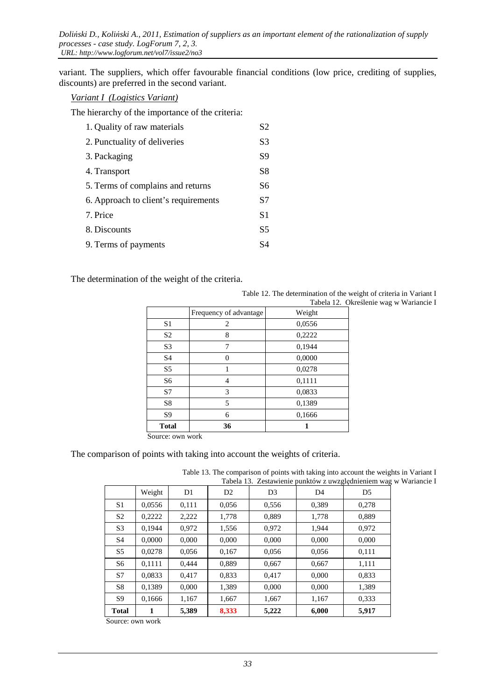variant. The suppliers, which offer favourable financial conditions (low price, crediting of supplies, discounts) are preferred in the second variant.

#### *Variant I (Logistics Variant)*

The hierarchy of the importance of the criteria:

| 1. Quality of raw materials          | S2             |
|--------------------------------------|----------------|
| 2. Punctuality of deliveries         | S <sub>3</sub> |
| 3. Packaging                         | S9             |
| 4. Transport                         | S8             |
| 5. Terms of complains and returns    | S6             |
| 6. Approach to client's requirements | S7             |
| 7. Price                             | S1             |
| 8. Discounts                         | S <sub>5</sub> |
| 9. Terms of payments                 | S4             |

The determination of the weight of the criteria.

|                |                        | Tabela 12. Ol |
|----------------|------------------------|---------------|
|                | Frequency of advantage | Weight        |
| S <sub>1</sub> | 2                      | 0,0556        |
| S <sub>2</sub> | 8                      | 0,2222        |
| S <sub>3</sub> | 7                      | 0,1944        |
| S <sub>4</sub> | 0                      | 0,0000        |
| S <sub>5</sub> |                        | 0,0278        |
| S6             | 4                      | 0,1111        |
| S7             | 3                      | 0,0833        |
| S8             | 5                      | 0,1389        |
| S <sub>9</sub> | 6                      | 0,1666        |
| <b>Total</b>   | 36                     |               |

Table 12. The determination of the weight of criteria in Variant I . Określenie wag w Wariancie I

Source: own work

The comparison of points with taking into account the weights of criteria.

Table 13. The comparison of points with taking into account the weights in Variant I w Wariancie I

| Tabela 15. Zestawienie punktów z uwzgiędnieniem wag |        |       |                |                |                |       |
|-----------------------------------------------------|--------|-------|----------------|----------------|----------------|-------|
|                                                     | Weight | D1    | D <sub>2</sub> | D <sub>3</sub> | D <sub>4</sub> | D5    |
| S <sub>1</sub>                                      | 0,0556 | 0.111 | 0,056          | 0,556          | 0,389          | 0,278 |
| S <sub>2</sub>                                      | 0,2222 | 2,222 | 1,778          | 0,889          | 1,778          | 0,889 |
| S <sub>3</sub>                                      | 0,1944 | 0,972 | 1,556          | 0,972          | 1,944          | 0,972 |
| S4                                                  | 0,0000 | 0,000 | 0,000          | 0,000          | 0,000          | 0,000 |
| S <sub>5</sub>                                      | 0,0278 | 0,056 | 0,167          | 0,056          | 0,056          | 0,111 |
| S <sub>6</sub>                                      | 0.1111 | 0,444 | 0.889          | 0,667          | 0,667          | 1,111 |
| S7                                                  | 0,0833 | 0,417 | 0,833          | 0,417          | 0,000          | 0,833 |
| S <sub>8</sub>                                      | 0,1389 | 0,000 | 1,389          | 0,000          | 0,000          | 1,389 |
| <b>S</b> 9                                          | 0,1666 | 1,167 | 1,667          | 1,667          | 1,167          | 0,333 |
| <b>Total</b>                                        | 1      | 5,389 | 8,333          | 5,222          | 6,000          | 5,917 |

Source: own work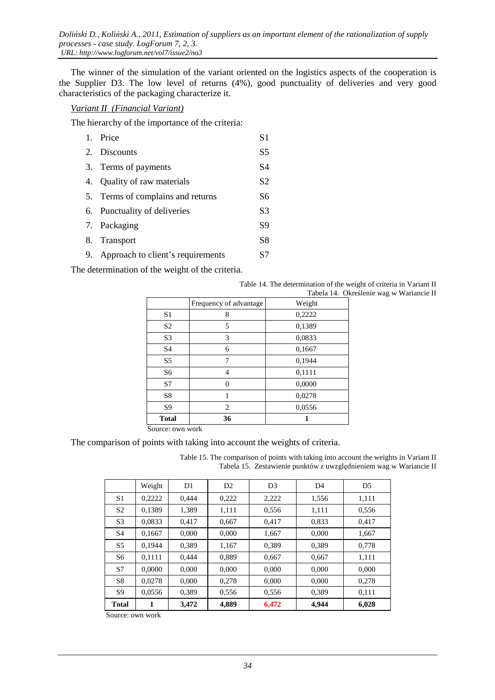The winner of the simulation of the variant oriented on the logistics aspects of the cooperation is the Supplier D3. The low level of returns (4%), good punctuality of deliveries and very good characteristics of the packaging characterize it.

#### *Variant II (Financial Variant)*

The hierarchy of the importance of the criteria:

| 1. Price                             | S <sub>1</sub> |
|--------------------------------------|----------------|
| 2. Discounts                         | S <sub>5</sub> |
| 3. Terms of payments                 | S4             |
| 4. Quality of raw materials          | S <sub>2</sub> |
| 5. Terms of complains and returns    | S6             |
| 6. Punctuality of deliveries         | S <sub>3</sub> |
| 7. Packaging                         | S <sub>9</sub> |
| 8. Transport                         | S <sub>8</sub> |
| 9. Approach to client's requirements | S7             |
|                                      |                |

The determination of the weight of the criteria.

| Table 14. The determination of the weight of criteria in Variant II |                                          |
|---------------------------------------------------------------------|------------------------------------------|
|                                                                     | Tabela 14. Określenie wag w Wariancie II |

|                | Frequency of advantage | Weight |
|----------------|------------------------|--------|
| S1             | 8                      | 0,2222 |
| S <sub>2</sub> | 5                      | 0,1389 |
| S <sub>3</sub> | 3                      | 0,0833 |
| S <sub>4</sub> | 6                      | 0,1667 |
| S <sub>5</sub> | 7                      | 0,1944 |
| S6             | $\overline{4}$         | 0,1111 |
| S7             | 0                      | 0,0000 |
| S8             |                        | 0,0278 |
| S <sub>9</sub> | 2                      | 0,0556 |
| <b>Total</b>   | 36                     |        |

Source: own work

The comparison of points with taking into account the weights of criteria.

Table 15. The comparison of points with taking into account the weights in Variant II Tabela 15. Zestawienie punktów z uwzględnieniem wag w Wariancie II

|                | Weight | D1    | D <sub>2</sub> | D <sub>3</sub> | D <sub>4</sub> | D <sub>5</sub> |
|----------------|--------|-------|----------------|----------------|----------------|----------------|
| S1             | 0,2222 | 0,444 | 0,222          | 2,222          | 1,556          | 1,111          |
| S <sub>2</sub> | 0,1389 | 1,389 | 1,111          | 0,556          | 1,111          | 0,556          |
| S <sub>3</sub> | 0,0833 | 0,417 | 0,667          | 0,417          | 0,833          | 0,417          |
| S <sub>4</sub> | 0,1667 | 0,000 | 0,000          | 1,667          | 0,000          | 1,667          |
| S <sub>5</sub> | 0,1944 | 0.389 | 1,167          | 0.389          | 0,389          | 0,778          |
| S <sub>6</sub> | 0,1111 | 0,444 | 0,889          | 0,667          | 0,667          | 1,111          |
| S7             | 0,0000 | 0,000 | 0,000          | 0,000          | 0,000          | 0,000          |
| S <sub>8</sub> | 0,0278 | 0,000 | 0,278          | 0,000          | 0,000          | 0,278          |
| S <sub>9</sub> | 0,0556 | 0,389 | 0,556          | 0,556          | 0,389          | 0,111          |
| <b>Total</b>   | 1      | 3,472 | 4,889          | 6,472          | 4,944          | 6,028          |

Source: own work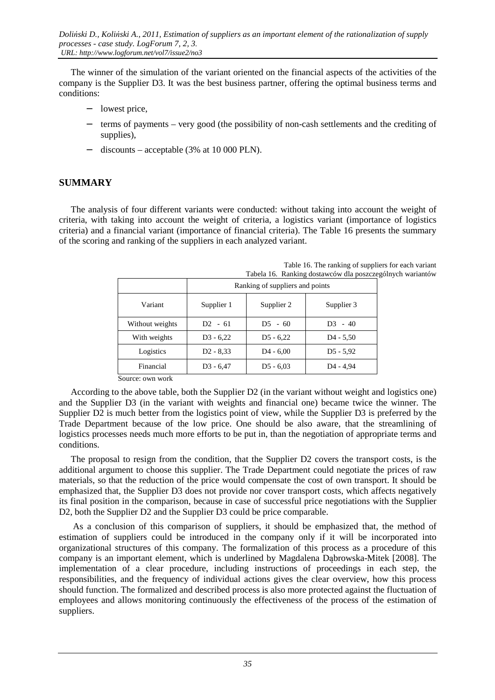The winner of the simulation of the variant oriented on the financial aspects of the activities of the company is the Supplier D3. It was the best business partner, offering the optimal business terms and conditions:

- − lowest price,
- − terms of payments very good (the possibility of non-cash settlements and the crediting of supplies),
- − discounts acceptable (3% at 10 000 PLN).

## **SUMMARY**

The analysis of four different variants were conducted: without taking into account the weight of criteria, with taking into account the weight of criteria, a logistics variant (importance of logistics criteria) and a financial variant (importance of financial criteria). The Table 16 presents the summary of the scoring and ranking of the suppliers in each analyzed variant.

|                                    | Tabela To. Ranking dostawcow dia poszcze |             |                       |  |  |  |
|------------------------------------|------------------------------------------|-------------|-----------------------|--|--|--|
|                                    | Ranking of suppliers and points          |             |                       |  |  |  |
| Variant                            | Supplier 1                               | Supplier 2  | Supplier 3            |  |  |  |
| Without weights                    | $D2 - 61$                                | $D5 - 60$   | $D3 - 40$             |  |  |  |
| With weights                       | $D3 - 6,22$                              | $D5 - 6,22$ | $D4 - 5,50$           |  |  |  |
| Logistics                          | $D2 - 8,33$                              | $D4 - 6,00$ | $D5 - 5.92$           |  |  |  |
| Financial                          | $D3 - 6,47$                              | $D5 - 6,03$ | D <sub>4</sub> - 4,94 |  |  |  |
| $\alpha$ and $\alpha$ and $\alpha$ |                                          |             |                       |  |  |  |

Table 16. The ranking of suppliers for each variant ególnych wariantów

Source: own work

According to the above table, both the Supplier D2 (in the variant without weight and logistics one) and the Supplier D3 (in the variant with weights and financial one) became twice the winner. The Supplier D2 is much better from the logistics point of view, while the Supplier D3 is preferred by the Trade Department because of the low price. One should be also aware, that the streamlining of logistics processes needs much more efforts to be put in, than the negotiation of appropriate terms and conditions.

The proposal to resign from the condition, that the Supplier D2 covers the transport costs, is the additional argument to choose this supplier. The Trade Department could negotiate the prices of raw materials, so that the reduction of the price would compensate the cost of own transport. It should be emphasized that, the Supplier D3 does not provide nor cover transport costs, which affects negatively its final position in the comparison, because in case of successful price negotiations with the Supplier D2, both the Supplier D2 and the Supplier D3 could be price comparable.

 As a conclusion of this comparison of suppliers, it should be emphasized that, the method of estimation of suppliers could be introduced in the company only if it will be incorporated into organizational structures of this company. The formalization of this process as a procedure of this company is an important element, which is underlined by Magdalena Dąbrowska-Mitek [2008]. The implementation of a clear procedure, including instructions of proceedings in each step, the responsibilities, and the frequency of individual actions gives the clear overview, how this process should function. The formalized and described process is also more protected against the fluctuation of employees and allows monitoring continuously the effectiveness of the process of the estimation of suppliers.